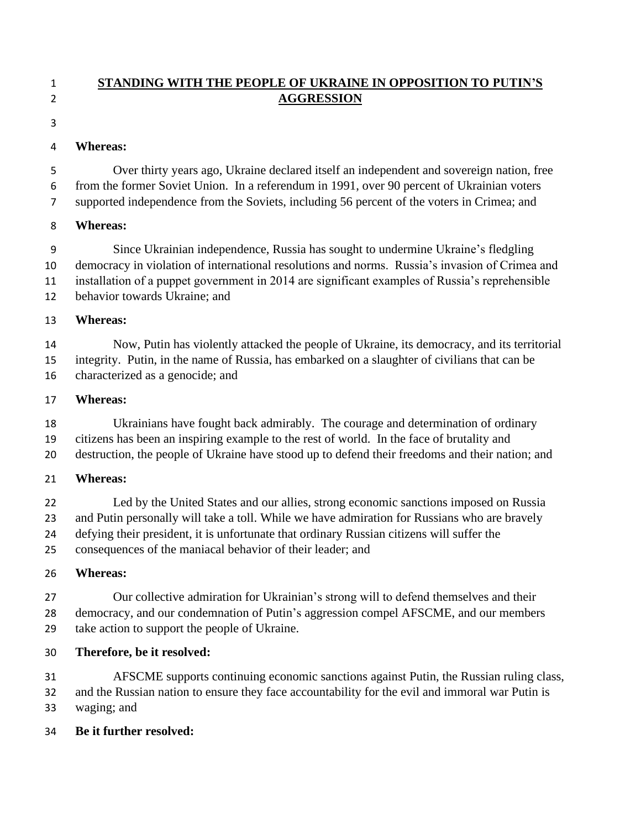## **STANDING WITH THE PEOPLE OF UKRAINE IN OPPOSITION TO PUTIN'S AGGRESSION**

#### 

#### **Whereas:**

 Over thirty years ago, Ukraine declared itself an independent and sovereign nation, free from the former Soviet Union. In a referendum in 1991, over 90 percent of Ukrainian voters supported independence from the Soviets, including 56 percent of the voters in Crimea; and

### **Whereas:**

 Since Ukrainian independence, Russia has sought to undermine Ukraine's fledgling democracy in violation of international resolutions and norms. Russia's invasion of Crimea and installation of a puppet government in 2014 are significant examples of Russia's reprehensible behavior towards Ukraine; and

### **Whereas:**

 Now, Putin has violently attacked the people of Ukraine, its democracy, and its territorial integrity. Putin, in the name of Russia, has embarked on a slaughter of civilians that can be characterized as a genocide; and

### **Whereas:**

 Ukrainians have fought back admirably. The courage and determination of ordinary citizens has been an inspiring example to the rest of world. In the face of brutality and destruction, the people of Ukraine have stood up to defend their freedoms and their nation; and

## **Whereas:**

 Led by the United States and our allies, strong economic sanctions imposed on Russia and Putin personally will take a toll. While we have admiration for Russians who are bravely defying their president, it is unfortunate that ordinary Russian citizens will suffer the consequences of the maniacal behavior of their leader; and

## **Whereas:**

 Our collective admiration for Ukrainian's strong will to defend themselves and their democracy, and our condemnation of Putin's aggression compel AFSCME, and our members take action to support the people of Ukraine.

## **Therefore, be it resolved:**

 AFSCME supports continuing economic sanctions against Putin, the Russian ruling class, and the Russian nation to ensure they face accountability for the evil and immoral war Putin is waging; and

**Be it further resolved:**